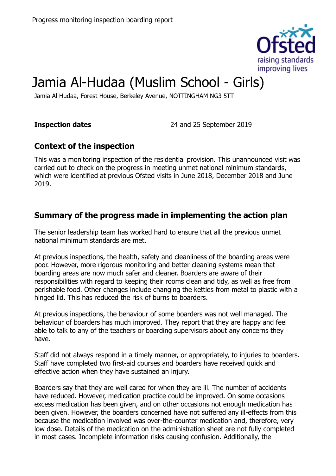

# Jamia Al-Hudaa (Muslim School - Girls)

Jamia Al Hudaa, Forest House, Berkeley Avenue, NOTTINGHAM NG3 5TT

**Inspection dates** 24 and 25 September 2019

# **Context of the inspection**

This was a monitoring inspection of the residential provision. This unannounced visit was carried out to check on the progress in meeting unmet national minimum standards, which were identified at previous Ofsted visits in June 2018, December 2018 and June 2019.

# **Summary of the progress made in implementing the action plan**

The senior leadership team has worked hard to ensure that all the previous unmet national minimum standards are met.

At previous inspections, the health, safety and cleanliness of the boarding areas were poor. However, more rigorous monitoring and better cleaning systems mean that boarding areas are now much safer and cleaner. Boarders are aware of their responsibilities with regard to keeping their rooms clean and tidy, as well as free from perishable food. Other changes include changing the kettles from metal to plastic with a hinged lid. This has reduced the risk of burns to boarders.

At previous inspections, the behaviour of some boarders was not well managed. The behaviour of boarders has much improved. They report that they are happy and feel able to talk to any of the teachers or boarding supervisors about any concerns they have.

Staff did not always respond in a timely manner, or appropriately, to injuries to boarders. Staff have completed two first-aid courses and boarders have received quick and effective action when they have sustained an injury.

Boarders say that they are well cared for when they are ill. The number of accidents have reduced. However, medication practice could be improved. On some occasions excess medication has been given, and on other occasions not enough medication has been given. However, the boarders concerned have not suffered any ill-effects from this because the medication involved was over-the-counter medication and, therefore, very low dose. Details of the medication on the administration sheet are not fully completed in most cases. Incomplete information risks causing confusion. Additionally, the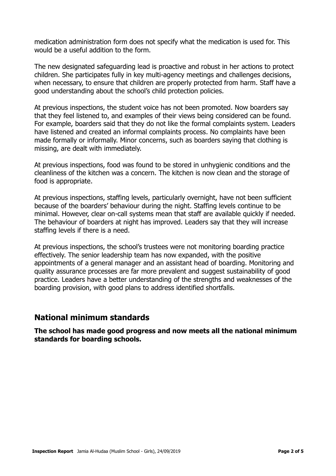medication administration form does not specify what the medication is used for. This would be a useful addition to the form.

The new designated safeguarding lead is proactive and robust in her actions to protect children. She participates fully in key multi-agency meetings and challenges decisions, when necessary, to ensure that children are properly protected from harm. Staff have a good understanding about the school's child protection policies.

At previous inspections, the student voice has not been promoted. Now boarders say that they feel listened to, and examples of their views being considered can be found. For example, boarders said that they do not like the formal complaints system. Leaders have listened and created an informal complaints process. No complaints have been made formally or informally. Minor concerns, such as boarders saying that clothing is missing, are dealt with immediately.

At previous inspections, food was found to be stored in unhygienic conditions and the cleanliness of the kitchen was a concern. The kitchen is now clean and the storage of food is appropriate.

At previous inspections, staffing levels, particularly overnight, have not been sufficient because of the boarders' behaviour during the night. Staffing levels continue to be minimal. However, clear on-call systems mean that staff are available quickly if needed. The behaviour of boarders at night has improved. Leaders say that they will increase staffing levels if there is a need.

At previous inspections, the school's trustees were not monitoring boarding practice effectively. The senior leadership team has now expanded, with the positive appointments of a general manager and an assistant head of boarding. Monitoring and quality assurance processes are far more prevalent and suggest sustainability of good practice. Leaders have a better understanding of the strengths and weaknesses of the boarding provision, with good plans to address identified shortfalls.

#### **National minimum standards**

**The school has made good progress and now meets all the national minimum standards for boarding schools.**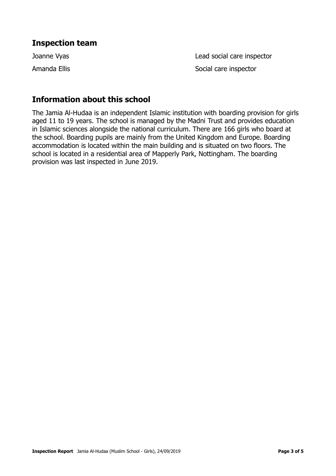### **Inspection team**

Joanne Vyas Lead social care inspector Amanda Ellis **Amanda** Ellis **Social care inspector** 

# **Information about this school**

The Jamia Al-Hudaa is an independent Islamic institution with boarding provision for girls aged 11 to 19 years. The school is managed by the Madni Trust and provides education in Islamic sciences alongside the national curriculum. There are 166 girls who board at the school. Boarding pupils are mainly from the United Kingdom and Europe. Boarding accommodation is located within the main building and is situated on two floors. The school is located in a residential area of Mapperly Park, Nottingham. The boarding provision was last inspected in June 2019.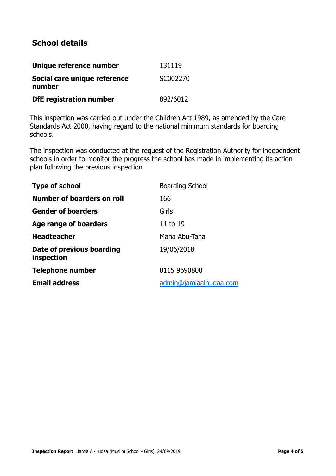# **School details**

| Unique reference number                | 131119   |
|----------------------------------------|----------|
| Social care unique reference<br>number | SC002270 |
| <b>DfE</b> registration number         | 892/6012 |

This inspection was carried out under the Children Act 1989, as amended by the Care Standards Act 2000, having regard to the national minimum standards for boarding schools.

The inspection was conducted at the request of the Registration Authority for independent schools in order to monitor the progress the school has made in implementing its action plan following the previous inspection.

| <b>Boarding School</b> |
|------------------------|
| 166                    |
| Girls                  |
| 11 to 19               |
| Maha Abu-Taha          |
| 19/06/2018             |
| 0115 9690800           |
| admin@jamiaalhudaa.com |
|                        |